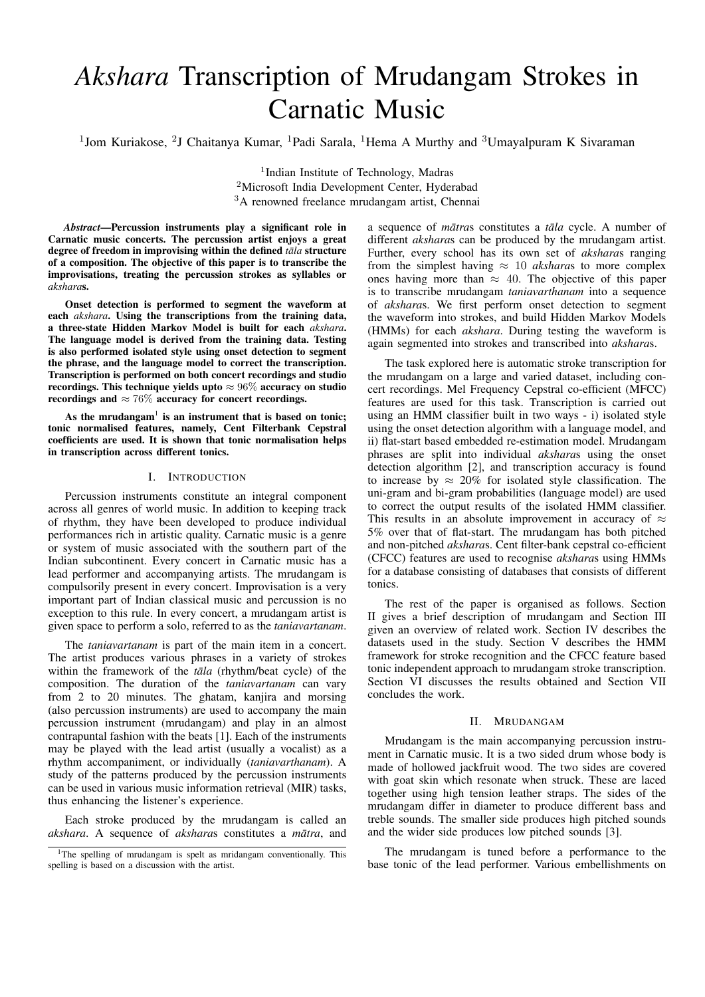# *Akshara* Transcription of Mrudangam Strokes in Carnatic Music

<sup>1</sup>Jom Kuriakose, <sup>2</sup>J Chaitanya Kumar, <sup>1</sup>Padi Sarala, <sup>1</sup>Hema A Murthy and <sup>3</sup>Umayalpuram K Sivaraman

<sup>1</sup>Indian Institute of Technology, Madras <sup>2</sup>Microsoft India Development Center, Hyderabad <sup>3</sup>A renowned freelance mrudangam artist, Chennai

*Abstract*—Percussion instruments play a significant role in Carnatic music concerts. The percussion artist enjoys a great degree of freedom in improvising within the defined *tala* structure of a composition. The objective of this paper is to transcribe the improvisations, treating the percussion strokes as syllables or *akshara*s.

Onset detection is performed to segment the waveform at each *akshara*. Using the transcriptions from the training data, a three-state Hidden Markov Model is built for each *akshara*. The language model is derived from the training data. Testing is also performed isolated style using onset detection to segment the phrase, and the language model to correct the transcription. Transcription is performed on both concert recordings and studio recordings. This technique yields upto  $\approx 96\%$  accuracy on studio recordings and  $\approx 76\%$  accuracy for concert recordings.

As the mrudangam $^1$  is an instrument that is based on tonic; tonic normalised features, namely, Cent Filterbank Cepstral coefficients are used. It is shown that tonic normalisation helps in transcription across different tonics.

#### I. INTRODUCTION

Percussion instruments constitute an integral component across all genres of world music. In addition to keeping track of rhythm, they have been developed to produce individual performances rich in artistic quality. Carnatic music is a genre or system of music associated with the southern part of the Indian subcontinent. Every concert in Carnatic music has a lead performer and accompanying artists. The mrudangam is compulsorily present in every concert. Improvisation is a very important part of Indian classical music and percussion is no exception to this rule. In every concert, a mrudangam artist is given space to perform a solo, referred to as the *taniavartanam*.

The *taniavartanam* is part of the main item in a concert. The artist produces various phrases in a variety of strokes within the framework of the *tala* (rhythm/beat cycle) of the composition. The duration of the *taniavartanam* can vary from 2 to 20 minutes. The ghatam, kanjira and morsing (also percussion instruments) are used to accompany the main percussion instrument (mrudangam) and play in an almost contrapuntal fashion with the beats [1]. Each of the instruments may be played with the lead artist (usually a vocalist) as a rhythm accompaniment, or individually (*taniavarthanam*). A study of the patterns produced by the percussion instruments can be used in various music information retrieval (MIR) tasks, thus enhancing the listener's experience.

Each stroke produced by the mrudangam is called an *akshara*. A sequence of *aksharas* constitutes a *mātra*, and a sequence of *mātras* constitutes a *tāla* cycle. A number of different *akshara*s can be produced by the mrudangam artist. Further, every school has its own set of *akshara*s ranging from the simplest having  $\approx 10$  *aksharas* to more complex ones having more than  $\approx$  40. The objective of this paper is to transcribe mrudangam *taniavarthanam* into a sequence of *akshara*s. We first perform onset detection to segment the waveform into strokes, and build Hidden Markov Models (HMMs) for each *akshara*. During testing the waveform is again segmented into strokes and transcribed into *akshara*s.

The task explored here is automatic stroke transcription for the mrudangam on a large and varied dataset, including concert recordings. Mel Frequency Cepstral co-efficient (MFCC) features are used for this task. Transcription is carried out using an HMM classifier built in two ways - i) isolated style using the onset detection algorithm with a language model, and ii) flat-start based embedded re-estimation model. Mrudangam phrases are split into individual *akshara*s using the onset detection algorithm [2], and transcription accuracy is found to increase by  $\approx 20\%$  for isolated style classification. The uni-gram and bi-gram probabilities (language model) are used to correct the output results of the isolated HMM classifier. This results in an absolute improvement in accuracy of  $\approx$ 5% over that of flat-start. The mrudangam has both pitched and non-pitched *akshara*s. Cent filter-bank cepstral co-efficient (CFCC) features are used to recognise *akshara*s using HMMs for a database consisting of databases that consists of different tonics.

The rest of the paper is organised as follows. Section II gives a brief description of mrudangam and Section III given an overview of related work. Section IV describes the datasets used in the study. Section V describes the HMM framework for stroke recognition and the CFCC feature based tonic independent approach to mrudangam stroke transcription. Section VI discusses the results obtained and Section VII concludes the work.

## II. MRUDANGAM

Mrudangam is the main accompanying percussion instrument in Carnatic music. It is a two sided drum whose body is made of hollowed jackfruit wood. The two sides are covered with goat skin which resonate when struck. These are laced together using high tension leather straps. The sides of the mrudangam differ in diameter to produce different bass and treble sounds. The smaller side produces high pitched sounds and the wider side produces low pitched sounds [3].

The mrudangam is tuned before a performance to the base tonic of the lead performer. Various embellishments on

<sup>&</sup>lt;sup>1</sup>The spelling of mrudangam is spelt as mridangam conventionally. This spelling is based on a discussion with the artist.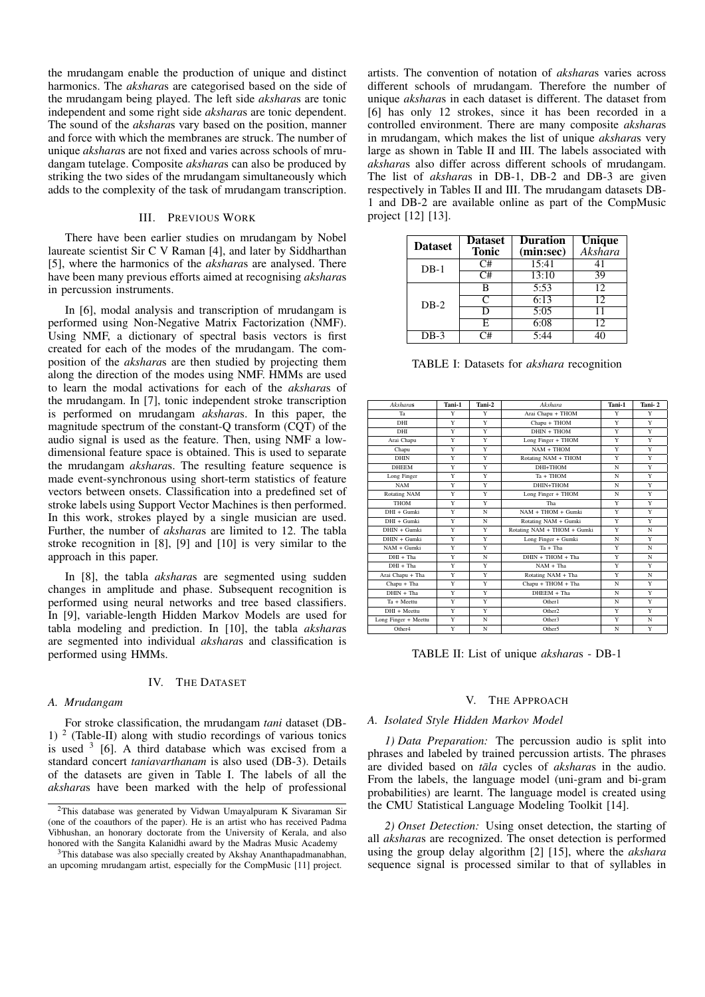the mrudangam enable the production of unique and distinct harmonics. The *akshara*s are categorised based on the side of the mrudangam being played. The left side *akshara*s are tonic independent and some right side *akshara*s are tonic dependent. The sound of the *akshara*s vary based on the position, manner and force with which the membranes are struck. The number of unique *akshara*s are not fixed and varies across schools of mrudangam tutelage. Composite *akshara*s can also be produced by striking the two sides of the mrudangam simultaneously which adds to the complexity of the task of mrudangam transcription.

### III. PREVIOUS WORK

There have been earlier studies on mrudangam by Nobel laureate scientist Sir C V Raman [4], and later by Siddharthan [5], where the harmonics of the *akshara*s are analysed. There have been many previous efforts aimed at recognising *akshara*s in percussion instruments.

In [6], modal analysis and transcription of mrudangam is performed using Non-Negative Matrix Factorization (NMF). Using NMF, a dictionary of spectral basis vectors is first created for each of the modes of the mrudangam. The composition of the *akshara*s are then studied by projecting them along the direction of the modes using NMF. HMMs are used to learn the modal activations for each of the *akshara*s of the mrudangam. In [7], tonic independent stroke transcription is performed on mrudangam *akshara*s. In this paper, the magnitude spectrum of the constant-Q transform (CQT) of the audio signal is used as the feature. Then, using NMF a lowdimensional feature space is obtained. This is used to separate the mrudangam *akshara*s. The resulting feature sequence is made event-synchronous using short-term statistics of feature vectors between onsets. Classification into a predefined set of stroke labels using Support Vector Machines is then performed. In this work, strokes played by a single musician are used. Further, the number of *akshara*s are limited to 12. The tabla stroke recognition in [8], [9] and [10] is very similar to the approach in this paper.

In [8], the tabla *akshara*s are segmented using sudden changes in amplitude and phase. Subsequent recognition is performed using neural networks and tree based classifiers. In [9], variable-length Hidden Markov Models are used for tabla modeling and prediction. In [10], the tabla *akshara*s are segmented into individual *akshara*s and classification is performed using HMMs.

## IV. THE DATASET

#### *A. Mrudangam*

For stroke classification, the mrudangam *tani* dataset (DB-1) <sup>2</sup> (Table-II) along with studio recordings of various tonics is used  $3$  [6]. A third database which was excised from a standard concert *taniavarthanam* is also used (DB-3). Details of the datasets are given in Table I. The labels of all the *akshara*s have been marked with the help of professional artists. The convention of notation of *akshara*s varies across different schools of mrudangam. Therefore the number of unique *akshara*s in each dataset is different. The dataset from [6] has only 12 strokes, since it has been recorded in a controlled environment. There are many composite *akshara*s in mrudangam, which makes the list of unique *akshara*s very large as shown in Table II and III. The labels associated with *akshara*s also differ across different schools of mrudangam. The list of *akshara*s in DB-1, DB-2 and DB-3 are given respectively in Tables II and III. The mrudangam datasets DB-1 and DB-2 are available online as part of the CompMusic project [12] [13].

| <b>Dataset</b> | <b>Dataset</b><br><b>Tonic</b> | <b>Duration</b><br>(min:sec) | <b>Unique</b><br>Akshara |
|----------------|--------------------------------|------------------------------|--------------------------|
| $DB-1$         | C#                             | 15:41                        | 41                       |
|                | C#                             | 13:10                        | 39                       |
|                | в                              | 5:53                         | 12                       |
| $DR-2$         | C                              | 6:13                         | 12                       |
|                | Đ                              | 5:05                         | 11                       |
|                | F.                             | 6:08                         | 12                       |
| $DB-3$         | ີ#                             | 5:44                         | 40                       |

TABLE I: Datasets for *akshara* recognition

| Aksharas             | Tani-1 | Tani-2 | Akshara                     | Tani-1 | Tani-2 |
|----------------------|--------|--------|-----------------------------|--------|--------|
| Ta                   | Y      | Y      | Arai Chapu + THOM           | Y      | Y      |
| DHI                  | Y      | Y      | Chapu + THOM                |        | Y      |
| DHI                  | Y      | Y      | DHIN + THOM                 | Y      | Y      |
| Arai Chapu           | Y      | Y      | Long Finger + THOM          | Y      | Y      |
| Chapu                | Y      | Y      | $NAM + THOM$                | Y      | Y      |
| <b>DHIN</b>          | Y      | Y      | Rotating NAM + THOM         | Y      | Y      |
| <b>DHEEM</b>         | Y      | Y      | DHI+THOM                    | N      | Y      |
| Long Finger          | Y      | Y      | Ta + THOM                   | N      | Y      |
| <b>NAM</b>           | Y      | Y      | DHIN+THOM                   | N      | Y      |
| Rotating NAM         | Y      | Y      | Long Finger + THOM          | N      | Y      |
| <b>THOM</b>          | Y      | Y      | Tha                         | Y      | Y      |
| DHI + Gumki          | Y      | N      | NAM + THOM + Gumki          | Y      | Y      |
| DHI + Gumki          | Y      | N      | Rotating NAM + Gumki        | Y      | Y      |
| $DHIN + Gumki$       | Y      | Y      | Rotating NAM + THOM + Gumki | Y      | N      |
| DHIN + Gumki         | Y      | Y      | Long Finger + Gumki         | N      | Y      |
| NAM + Gumki          | Y      | Y      | $Ta + Tha$                  | Y      | N      |
| $DHI + Tha$          | Y      | N      | $DHIN + THOM + Tha$         | Y      | N      |
| $DHI + Tha$          | Y      | Y      | $NAM + Tha$                 | Y      | Y      |
| Arai Chapu + Tha     | Y      | Y      | Rotating NAM + Tha          | Y      | N      |
| Chapu + Tha          | Y      | Y      | Chapu + THOM + Tha          | N      | Y      |
| $DHIN + Tha$         | Y      | Y      | DHEEM + Tha                 | N      | Y      |
| Ta + Meettu          | Y      | Y      | Other1                      | N      | Y      |
| DHI + Meettu         | Y      | Y      | Other <sub>2</sub>          | Y      | Y      |
| Long Finger + Meettu | Y      | N      | Other3                      | Y      | N      |
| Other4               | Y      | N      | Other5                      | N      | Y      |

TABLE II: List of unique *akshara*s - DB-1

#### V. THE APPROACH

## *A. Isolated Style Hidden Markov Model*

*1) Data Preparation:* The percussion audio is split into phrases and labeled by trained percussion artists. The phrases are divided based on *tala* cycles of *aksharas* in the audio. From the labels, the language model (uni-gram and bi-gram probabilities) are learnt. The language model is created using the CMU Statistical Language Modeling Toolkit [14].

*2) Onset Detection:* Using onset detection, the starting of all *akshara*s are recognized. The onset detection is performed using the group delay algorithm [2] [15], where the *akshara* sequence signal is processed similar to that of syllables in

<sup>&</sup>lt;sup>2</sup>This database was generated by Vidwan Umayalpuram K Sivaraman Sir (one of the coauthors of the paper). He is an artist who has received Padma Vibhushan, an honorary doctorate from the University of Kerala, and also honored with the Sangita Kalanidhi award by the Madras Music Academy

<sup>&</sup>lt;sup>3</sup>This database was also specially created by Akshay Ananthapadmanabhan, an upcoming mrudangam artist, especially for the CompMusic [11] project.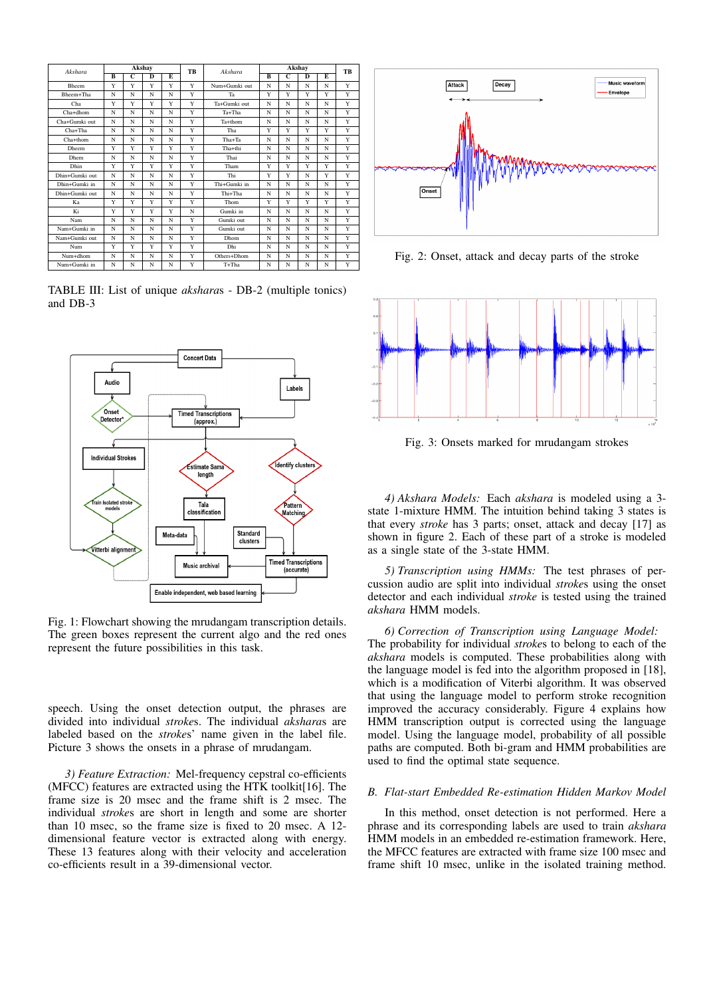| Akshara        | Akshay |                |                |   | TB | Akshara       |   | <b>TB</b>      |   |   |   |
|----------------|--------|----------------|----------------|---|----|---------------|---|----------------|---|---|---|
|                | B      | $\overline{c}$ | $\overline{D}$ | E |    |               | B | $\overline{C}$ | D | E |   |
| <b>Bheem</b>   | Y      | Y              | Y              | Y | Y  | Num+Gumki out | N | N              | N | N | Y |
| Bheem+Tha      | N      | N              | N              | N | Y  | Ta            | Y | Y              | Y | Y | Y |
| Cha            | Y      | Y              | Y              | Y | Y  | Ta+Gumki out  | N | N              | N | N | Y |
| Cha+dhom       | N      | N              | N              | N | Y  | Ta+Tha        | N | N              | N | N | Y |
| Cha+Gumki out  | N      | N              | N              | N | Y  | Ta+thom       | N | N              | N | N | Y |
| $Cha+Tha$      | N      | N              | N              | N | Y  | Tha           | Y | Y              | Y | Y | Y |
| $Cha+thom$     | N      | N              | N              | N | Y  | Tha+Ta        | N | N              | N | N | Y |
| <b>Dheem</b>   | Y      | Y              | Y              | Y | Y  | Tha+thi       | N | N              | N | N | Y |
| <b>Dhem</b>    | N      | N              | N              | N | Y  | Thai          | N | N              | N | N | Y |
| Dhin           | Y      | Y              | Y              | Y | Y  | Tham          | Y | Y              | Y | Y | Y |
| Dhin+Gumki out | N      | N              | N              | N | Y  | Thi           | Y | Y              | N | Y | Y |
| Dhin+Gumki in  | N      | N              | N              | N | Y  | Thi+Gumki in  | N | N              | N | N | Y |
| Dhin+Gumki out | N      | N              | N              | N | Y  | Thi+Tha       | N | N              | N | N | Y |
| Ka             | Y      | Y              | Y              | Y | Y  | Thom          | Y | Y              | Y | Y | Y |
| Ki             | Y      | Y              | Y              | Y | N  | Gumki in      | N | N              | N | N | Y |
| Nam            | N      | N              | N              | N | Y  | Gumki out     | N | N              | N | N | Y |
| Nam+Gumki in   | N      | N              | N              | N | Y  | Gumki out     | N | N              | N | N | Y |
| Nam+Gumki out  | N      | N              | N              | N | Y  | Dhom          | N | N              | N | N | Y |
| Num            | Y      | Y              | Y              | Y | Y  | Dhi           | N | N              | N | N | Y |
| Num+dhom       | N      | N              | N              | N | Y  | Others+Dhom   | N | N              | N | N | Y |
| Num+Gumki in   | N      | N              | N              | N | Y  | T+Tha         | N | N              | N | N | Y |

TABLE III: List of unique *akshara*s - DB-2 (multiple tonics) and DB-3



Fig. 1: Flowchart showing the mrudangam transcription details. The green boxes represent the current algo and the red ones represent the future possibilities in this task.

speech. Using the onset detection output, the phrases are divided into individual *stroke*s. The individual *akshara*s are labeled based on the *stroke*s' name given in the label file. Picture 3 shows the onsets in a phrase of mrudangam.

*3) Feature Extraction:* Mel-frequency cepstral co-efficients (MFCC) features are extracted using the HTK toolkit[16]. The frame size is 20 msec and the frame shift is 2 msec. The individual *stroke*s are short in length and some are shorter than 10 msec, so the frame size is fixed to 20 msec. A 12 dimensional feature vector is extracted along with energy. These 13 features along with their velocity and acceleration co-efficients result in a 39-dimensional vector.



Fig. 2: Onset, attack and decay parts of the stroke



Fig. 3: Onsets marked for mrudangam strokes

*4) Akshara Models:* Each *akshara* is modeled using a 3 state 1-mixture HMM. The intuition behind taking 3 states is that every *stroke* has 3 parts; onset, attack and decay [17] as shown in figure 2. Each of these part of a stroke is modeled as a single state of the 3-state HMM.

*5) Transcription using HMMs:* The test phrases of percussion audio are split into individual *stroke*s using the onset detector and each individual *stroke* is tested using the trained *akshara* HMM models.

*6) Correction of Transcription using Language Model:* The probability for individual *stroke*s to belong to each of the *akshara* models is computed. These probabilities along with the language model is fed into the algorithm proposed in [18], which is a modification of Viterbi algorithm. It was observed that using the language model to perform stroke recognition improved the accuracy considerably. Figure 4 explains how HMM transcription output is corrected using the language model. Using the language model, probability of all possible paths are computed. Both bi-gram and HMM probabilities are used to find the optimal state sequence.

## *B. Flat-start Embedded Re-estimation Hidden Markov Model*

In this method, onset detection is not performed. Here a phrase and its corresponding labels are used to train *akshara* HMM models in an embedded re-estimation framework. Here, the MFCC features are extracted with frame size 100 msec and frame shift 10 msec, unlike in the isolated training method.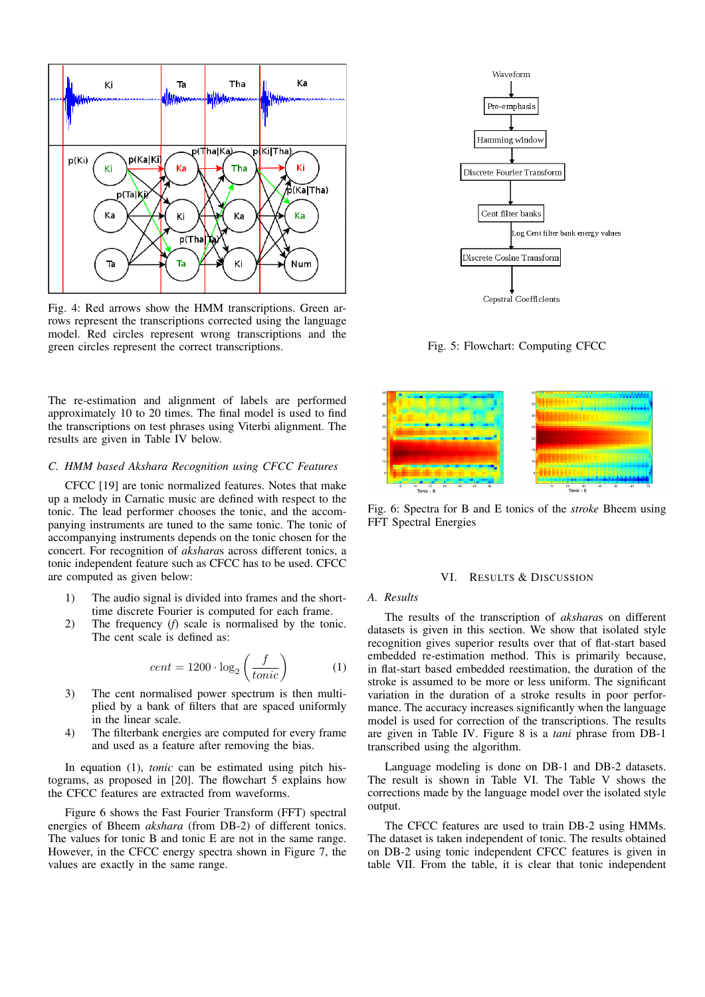

Fig. 4: Red arrows show the HMM transcriptions. Green arrows represent the transcriptions corrected using the language model. Red circles represent wrong transcriptions and the green circles represent the correct transcriptions.

The re-estimation and alignment of labels are performed approximately 10 to 20 times. The final model is used to find the transcriptions on test phrases using Viterbi alignment. The results are given in Table IV below.

# *C. HMM based Akshara Recognition using CFCC Features*

CFCC [19] are tonic normalized features. Notes that make up a melody in Carnatic music are defined with respect to the tonic. The lead performer chooses the tonic, and the accompanying instruments are tuned to the same tonic. The tonic of accompanying instruments depends on the tonic chosen for the concert. For recognition of *akshara*s across different tonics, a tonic independent feature such as CFCC has to be used. CFCC are computed as given below:

- 1) The audio signal is divided into frames and the shorttime discrete Fourier is computed for each frame.
- 2) The frequency (*f*) scale is normalised by the tonic. The cent scale is defined as:

$$
cent = 1200 \cdot \log_2\left(\frac{f}{tonic}\right) \tag{1}
$$

- 3) The cent normalised power spectrum is then multiplied by a bank of filters that are spaced uniformly in the linear scale.
- 4) The filterbank energies are computed for every frame and used as a feature after removing the bias.

In equation (1), *tonic* can be estimated using pitch histograms, as proposed in [20]. The flowchart 5 explains how the CFCC features are extracted from waveforms.

Figure 6 shows the Fast Fourier Transform (FFT) spectral energies of Bheem *akshara* (from DB-2) of different tonics. The values for tonic B and tonic E are not in the same range. However, in the CFCC energy spectra shown in Figure 7, the values are exactly in the same range.



Fig. 5: Flowchart: Computing CFCC



Fig. 6: Spectra for B and E tonics of the *stroke* Bheem using FFT Spectral Energies

### VI. RESULTS & DISCUSSION

### *A. Results*

The results of the transcription of *akshara*s on different datasets is given in this section. We show that isolated style recognition gives superior results over that of flat-start based embedded re-estimation method. This is primarily because, in flat-start based embedded reestimation, the duration of the stroke is assumed to be more or less uniform. The significant variation in the duration of a stroke results in poor performance. The accuracy increases significantly when the language model is used for correction of the transcriptions. The results are given in Table IV. Figure 8 is a *tani* phrase from DB-1 transcribed using the algorithm.

Language modeling is done on DB-1 and DB-2 datasets. The result is shown in Table VI. The Table V shows the corrections made by the language model over the isolated style output.

The CFCC features are used to train DB-2 using HMMs. The dataset is taken independent of tonic. The results obtained on DB-2 using tonic independent CFCC features is given in table VII. From the table, it is clear that tonic independent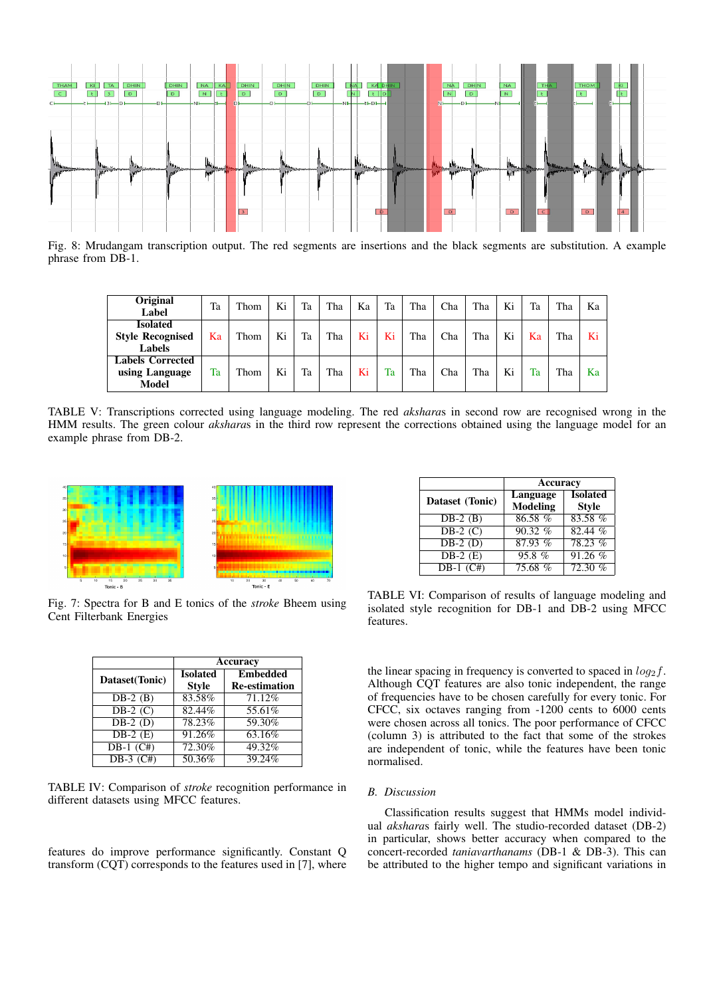

Fig. 8: Mrudangam transcription output. The red segments are insertions and the black segments are substitution. A example phrase from DB-1.

| Original<br>Label                                    | Ta | Thom | Ki | Ta | Tha | Ka | Ta | Tha | Cha | Tha | Ki | Ta | Tha | Ka |
|------------------------------------------------------|----|------|----|----|-----|----|----|-----|-----|-----|----|----|-----|----|
| <b>Isolated</b><br><b>Style Recognised</b><br>Labels | Ka | Thom | Ki | Ta | Tha | Ki | Ki | Tha | Cha | Tha | Ki | Ka | Tha | Ki |
| <b>Labels Corrected</b><br>using Language<br>Model   | Ta | Thom | Ki | Ta | Tha | Ki | Ta | Tha | Cha | Tha | Ki | Ta | Tha | Ka |

TABLE V: Transcriptions corrected using language modeling. The red *akshara*s in second row are recognised wrong in the HMM results. The green colour *akshara*s in the third row represent the corrections obtained using the language model for an example phrase from DB-2.



Fig. 7: Spectra for B and E tonics of the *stroke* Bheem using Cent Filterbank Energies

|                | Accuracy                        |                                         |  |  |  |
|----------------|---------------------------------|-----------------------------------------|--|--|--|
| Dataset(Tonic) | <b>Isolated</b><br><b>Style</b> | <b>Embedded</b><br><b>Re-estimation</b> |  |  |  |
| $DB-2$ (B)     | 83.58%                          | 71.12%                                  |  |  |  |
| $DB-2$ (C)     | 82.44%                          | 55.61%                                  |  |  |  |
| $DB-2$ (D)     | 78.23%                          | 59.30%                                  |  |  |  |
| $DB-2(E)$      | 91.26%                          | 63.16%                                  |  |  |  |
| $DB-1$ $(C#)$  | 72.30%                          | 49.32%                                  |  |  |  |
| DB-3 $(C#)$    | 50.36%                          | $39.24\%$                               |  |  |  |

TABLE IV: Comparison of *stroke* recognition performance in different datasets using MFCC features.

features do improve performance significantly. Constant Q transform (CQT) corresponds to the features used in [7], where

|                 | Accuracy             |                                 |  |  |  |
|-----------------|----------------------|---------------------------------|--|--|--|
| Dataset (Tonic) | Language<br>Modeling | <b>Isolated</b><br><b>Style</b> |  |  |  |
| $DB-2$ (B)      | 86.58 %              | 83.58%                          |  |  |  |
| $DB-2$ (C)      | 90.32%               | 82.44%                          |  |  |  |
| $DB-2$ (D)      | 87.93%               | $78.23\%$                       |  |  |  |
| $DB-2$ (E)      | 95.8%                | 91.26 %                         |  |  |  |
| $DB-1$ $(C#)$   | 75.68 %              | 72.30%                          |  |  |  |

TABLE VI: Comparison of results of language modeling and isolated style recognition for DB-1 and DB-2 using MFCC features.

the linear spacing in frequency is converted to spaced in  $log_2 f$ . Although CQT features are also tonic independent, the range of frequencies have to be chosen carefully for every tonic. For CFCC, six octaves ranging from -1200 cents to 6000 cents were chosen across all tonics. The poor performance of CFCC (column 3) is attributed to the fact that some of the strokes are independent of tonic, while the features have been tonic normalised.

# *B. Discussion*

Classification results suggest that HMMs model individual *akshara*s fairly well. The studio-recorded dataset (DB-2) in particular, shows better accuracy when compared to the concert-recorded *taniavarthanams* (DB-1 & DB-3). This can be attributed to the higher tempo and significant variations in